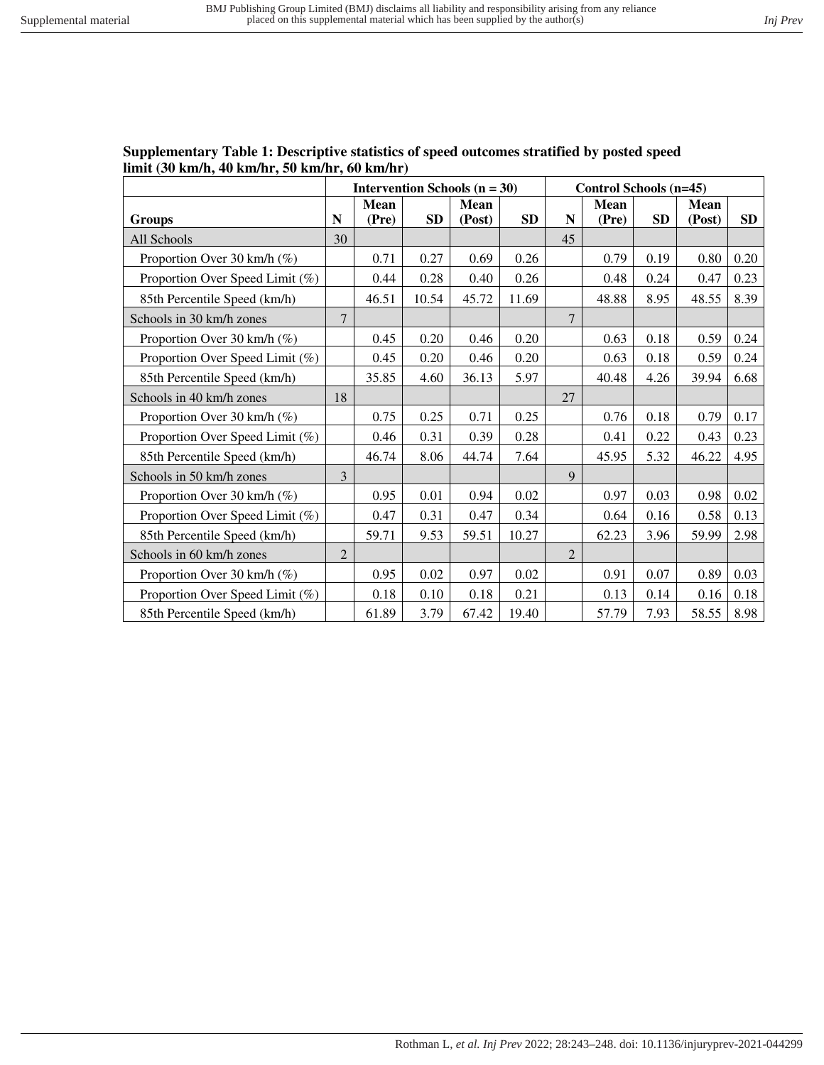| Supplementary Table 1: Descriptive statistics of speed outcomes stratified by posted speed |  |
|--------------------------------------------------------------------------------------------|--|
| limit $(30 \text{ km/h}, 40 \text{ km/hr}, 50 \text{ km/hr}, 60 \text{ km/hr})$            |  |

|                                 | <b>Intervention Schools (n = 30)</b> |                      |           | Control Schools (n=45) |           |                |                      |           |                       |      |
|---------------------------------|--------------------------------------|----------------------|-----------|------------------------|-----------|----------------|----------------------|-----------|-----------------------|------|
| <b>Groups</b>                   | N                                    | <b>Mean</b><br>(Pre) | <b>SD</b> | <b>Mean</b><br>(Post)  | <b>SD</b> | ${\bf N}$      | <b>Mean</b><br>(Pre) | <b>SD</b> | <b>Mean</b><br>(Post) | SD   |
| All Schools                     | 30                                   |                      |           |                        |           | 45             |                      |           |                       |      |
| Proportion Over 30 km/h (%)     |                                      | 0.71                 | 0.27      | 0.69                   | 0.26      |                | 0.79                 | 0.19      | 0.80                  | 0.20 |
| Proportion Over Speed Limit (%) |                                      | 0.44                 | 0.28      | 0.40                   | 0.26      |                | 0.48                 | 0.24      | 0.47                  | 0.23 |
| 85th Percentile Speed (km/h)    |                                      | 46.51                | 10.54     | 45.72                  | 11.69     |                | 48.88                | 8.95      | 48.55                 | 8.39 |
| Schools in 30 km/h zones        | $\overline{7}$                       |                      |           |                        |           | $\overline{7}$ |                      |           |                       |      |
| Proportion Over 30 km/h (%)     |                                      | 0.45                 | 0.20      | 0.46                   | 0.20      |                | 0.63                 | 0.18      | 0.59                  | 0.24 |
| Proportion Over Speed Limit (%) |                                      | 0.45                 | 0.20      | 0.46                   | 0.20      |                | 0.63                 | 0.18      | 0.59                  | 0.24 |
| 85th Percentile Speed (km/h)    |                                      | 35.85                | 4.60      | 36.13                  | 5.97      |                | 40.48                | 4.26      | 39.94                 | 6.68 |
| Schools in 40 km/h zones        | 18                                   |                      |           |                        |           | 27             |                      |           |                       |      |
| Proportion Over 30 km/h (%)     |                                      | 0.75                 | 0.25      | 0.71                   | 0.25      |                | 0.76                 | 0.18      | 0.79                  | 0.17 |
| Proportion Over Speed Limit (%) |                                      | 0.46                 | 0.31      | 0.39                   | 0.28      |                | 0.41                 | 0.22      | 0.43                  | 0.23 |
| 85th Percentile Speed (km/h)    |                                      | 46.74                | 8.06      | 44.74                  | 7.64      |                | 45.95                | 5.32      | 46.22                 | 4.95 |
| Schools in 50 km/h zones        | $\overline{3}$                       |                      |           |                        |           | 9              |                      |           |                       |      |
| Proportion Over 30 km/h $(\%)$  |                                      | 0.95                 | 0.01      | 0.94                   | 0.02      |                | 0.97                 | 0.03      | 0.98                  | 0.02 |
| Proportion Over Speed Limit (%) |                                      | 0.47                 | 0.31      | 0.47                   | 0.34      |                | 0.64                 | 0.16      | 0.58                  | 0.13 |
| 85th Percentile Speed (km/h)    |                                      | 59.71                | 9.53      | 59.51                  | 10.27     |                | 62.23                | 3.96      | 59.99                 | 2.98 |
| Schools in 60 km/h zones        | $\overline{2}$                       |                      |           |                        |           | $\overline{2}$ |                      |           |                       |      |
| Proportion Over 30 km/h $(\%)$  |                                      | 0.95                 | 0.02      | 0.97                   | 0.02      |                | 0.91                 | 0.07      | 0.89                  | 0.03 |
| Proportion Over Speed Limit (%) |                                      | 0.18                 | 0.10      | 0.18                   | 0.21      |                | 0.13                 | 0.14      | 0.16                  | 0.18 |
| 85th Percentile Speed (km/h)    |                                      | 61.89                | 3.79      | 67.42                  | 19.40     |                | 57.79                | 7.93      | 58.55                 | 8.98 |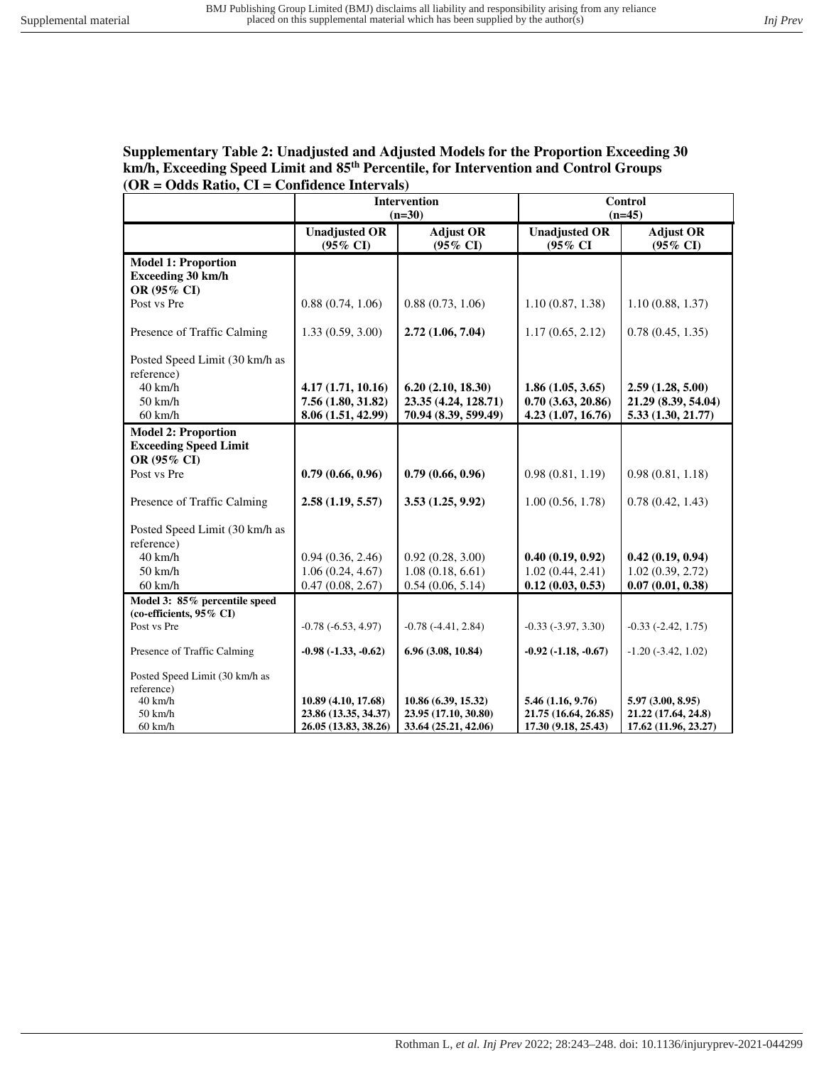## **Supplementary Table 2: Unadjusted and Adjusted Models for the Proportion Exceeding 30 km/h, Exceeding Speed Limit and 85th Percentile, for Intervention and Control Groups (OR = Odds Ratio, CI = Confidence Intervals)**

|                                |                                             | <b>Intervention</b><br>$(n=30)$         | Control<br>$(n=45)$             |                                         |  |
|--------------------------------|---------------------------------------------|-----------------------------------------|---------------------------------|-----------------------------------------|--|
|                                | <b>Unadjusted OR</b><br>$(95\% \text{ CI})$ | <b>Adjust OR</b><br>$(95\% \text{ CI})$ | <b>Unadjusted OR</b><br>(95% CI | <b>Adjust OR</b><br>$(95\% \text{ CI})$ |  |
| <b>Model 1: Proportion</b>     |                                             |                                         |                                 |                                         |  |
| <b>Exceeding 30 km/h</b>       |                                             |                                         |                                 |                                         |  |
| OR (95% CI)                    |                                             |                                         |                                 |                                         |  |
| Post vs Pre                    | 0.88(0.74, 1.06)                            | 0.88(0.73, 1.06)                        | 1.10(0.87, 1.38)                | 1.10(0.88, 1.37)                        |  |
| Presence of Traffic Calming    | 1.33(0.59, 3.00)                            | 2.72(1.06, 7.04)                        | 1.17(0.65, 2.12)                | 0.78(0.45, 1.35)                        |  |
| Posted Speed Limit (30 km/h as |                                             |                                         |                                 |                                         |  |
| reference)                     |                                             |                                         |                                 |                                         |  |
| $40$ km/h                      | 4.17 (1.71, 10.16)                          | 6.20(2.10, 18.30)                       | 1.86(1.05, 3.65)                | 2.59(1.28, 5.00)                        |  |
| $50 \text{ km/h}$              | 7.56 (1.80, 31.82)                          | 23.35 (4.24, 128.71)                    | 0.70(3.63, 20.86)               | 21.29 (8.39, 54.04)                     |  |
| $60$ km/h                      | 8.06 (1.51, 42.99)                          | 70.94 (8.39, 599.49)                    | 4.23 (1.07, 16.76)              | 5.33 (1.30, 21.77)                      |  |
| <b>Model 2: Proportion</b>     |                                             |                                         |                                 |                                         |  |
| <b>Exceeding Speed Limit</b>   |                                             |                                         |                                 |                                         |  |
| OR (95% CI)                    |                                             |                                         |                                 |                                         |  |
| Post vs Pre                    | 0.79(0.66, 0.96)                            | 0.79(0.66, 0.96)                        | 0.98(0.81, 1.19)                | 0.98(0.81, 1.18)                        |  |
| Presence of Traffic Calming    | 2.58(1.19, 5.57)                            | 3.53(1.25, 9.92)                        | 1.00(0.56, 1.78)                | 0.78(0.42, 1.43)                        |  |
| Posted Speed Limit (30 km/h as |                                             |                                         |                                 |                                         |  |
| reference)                     |                                             |                                         |                                 |                                         |  |
| $40$ km/h                      | 0.94(0.36, 2.46)                            | 0.92(0.28, 3.00)                        | 0.40(0.19, 0.92)                | 0.42(0.19, 0.94)                        |  |
| $50 \text{ km/h}$              | 1.06(0.24, 4.67)                            | 1.08(0.18, 6.61)                        | 1.02(0.44, 2.41)                | 1.02(0.39, 2.72)                        |  |
| $60$ km/h                      | 0.47(0.08, 2.67)                            | 0.54(0.06, 5.14)                        | 0.12(0.03, 0.53)                | 0.07(0.01, 0.38)                        |  |
| Model 3: 85% percentile speed  |                                             |                                         |                                 |                                         |  |
| (co-efficients, 95% CI)        |                                             |                                         |                                 |                                         |  |
| Post vs Pre                    | $-0.78(-6.53, 4.97)$                        | $-0.78$ $(-4.41, 2.84)$                 | $-0.33(-3.97, 3.30)$            | $-0.33$ $(-2.42, 1.75)$                 |  |
| Presence of Traffic Calming    | $-0.98$ $(-1.33, -0.62)$                    | 6.96 (3.08, 10.84)                      | $-0.92$ $(-1.18, -0.67)$        | $-1.20$ $(-3.42, 1.02)$                 |  |
| Posted Speed Limit (30 km/h as |                                             |                                         |                                 |                                         |  |
| reference)                     |                                             |                                         |                                 |                                         |  |
| 40 km/h                        | 10.89 (4.10, 17.68)                         | 10.86 (6.39, 15.32)                     | 5.46 (1.16, 9.76)               | 5.97(3.00, 8.95)                        |  |
| $50 \text{ km/h}$              | 23.86 (13.35, 34.37)                        | 23.95 (17.10, 30.80)                    | 21.75 (16.64, 26.85)            | 21.22 (17.64, 24.8)                     |  |
| $60$ km/h                      | 26.05 (13.83, 38.26)                        | 33.64 (25.21, 42.06)                    | 17.30 (9.18, 25.43)             | 17.62 (11.96, 23.27)                    |  |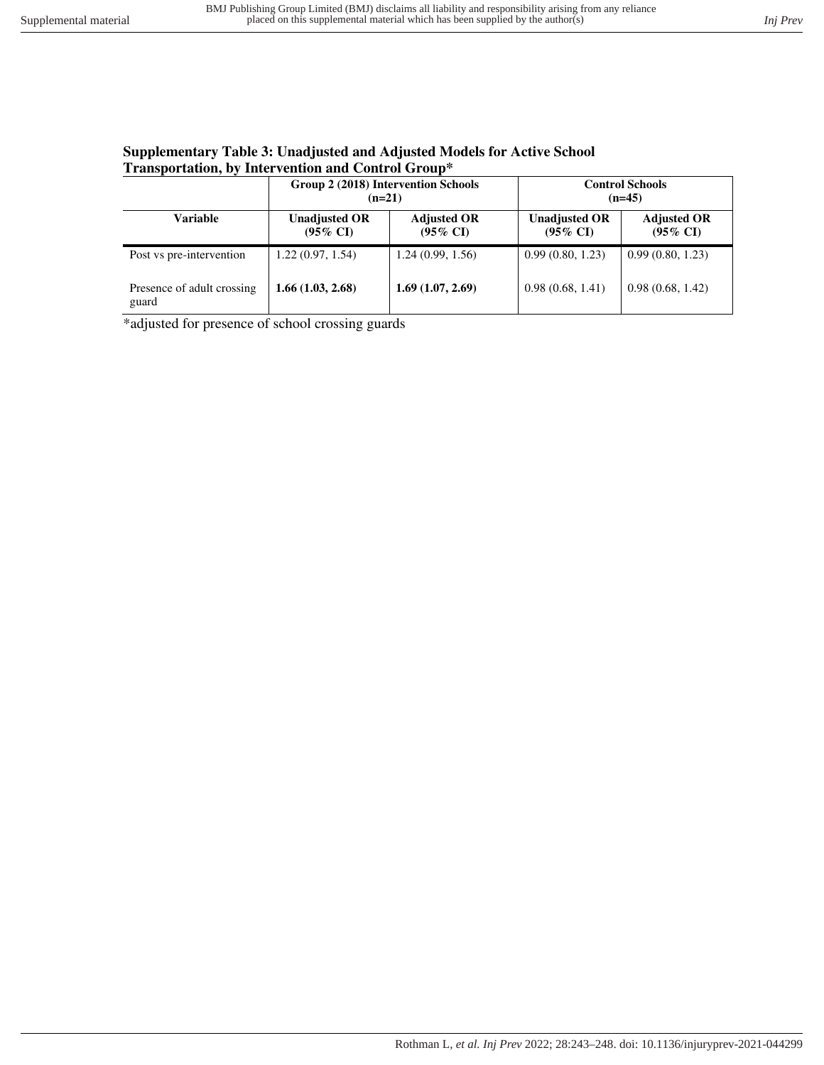## **Supplementary Table 3: Unadjusted and Adjusted Models for Active School Transportation, by Intervention and Control Group\***

|                                     | Group 2 (2018) Intervention Schools<br>$(n=21)$ |                                           | <b>Control Schools</b><br>$(n=45)$          |                                           |  |  |
|-------------------------------------|-------------------------------------------------|-------------------------------------------|---------------------------------------------|-------------------------------------------|--|--|
| Variable                            | <b>Unadjusted OR</b><br>$(95\% \text{ CI})$     | <b>Adjusted OR</b><br>$(95\% \text{ CI})$ | <b>Unadjusted OR</b><br>$(95\% \text{ CI})$ | <b>Adjusted OR</b><br>$(95\% \text{ CI})$ |  |  |
| Post vs pre-intervention            | 1.22(0.97, 1.54)                                | 1.24(0.99, 1.56)                          | 0.99(0.80, 1.23)                            | 0.99(0.80, 1.23)                          |  |  |
| Presence of adult crossing<br>guard | 1.66(1.03, 2.68)                                | 1.69(1.07, 2.69)                          | 0.98(0.68, 1.41)                            | 0.98(0.68, 1.42)                          |  |  |

\*adjusted for presence of school crossing guards